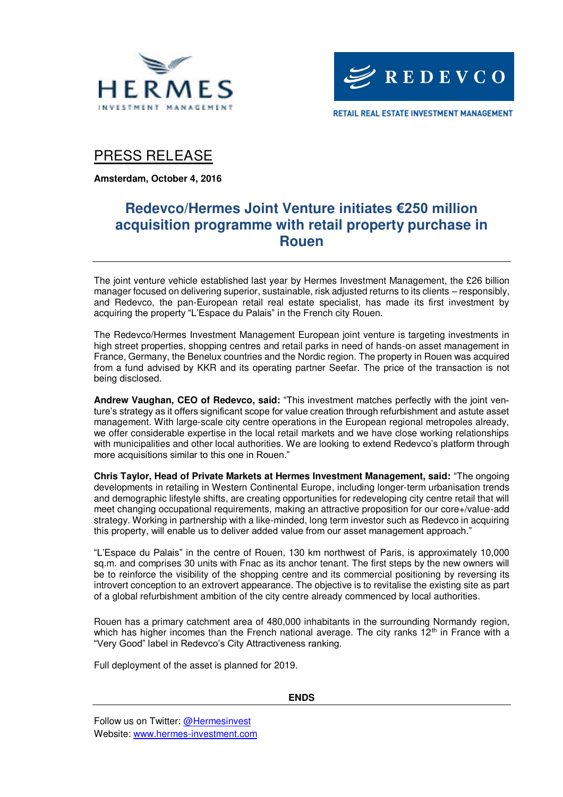



RETAIL REAL ESTATE INVESTMENT MANAGEMENT

### PRESS RELEASE

**Amsterdam, October 4, 2016** 

## **Redevco/Hermes Joint Venture initiates €250 million acquisition programme with retail property purchase in Rouen**

The joint venture vehicle established last year by Hermes Investment Management, the £26 billion manager focused on delivering superior, sustainable, risk adjusted returns to its clients – responsibly, and Redevco, the pan-European retail real estate specialist, has made its first investment by acquiring the property "L'Espace du Palais" in the French city Rouen.

The Redevco/Hermes Investment Management European joint venture is targeting investments in high street properties, shopping centres and retail parks in need of hands-on asset management in France, Germany, the Benelux countries and the Nordic region. The property in Rouen was acquired from a fund advised by KKR and its operating partner Seefar. The price of the transaction is not being disclosed.

**Andrew Vaughan, CEO of Redevco, said:** "This investment matches perfectly with the joint venture's strategy as it offers significant scope for value creation through refurbishment and astute asset management. With large-scale city centre operations in the European regional metropoles already, we offer considerable expertise in the local retail markets and we have close working relationships with municipalities and other local authorities. We are looking to extend Redevco's platform through more acquisitions similar to this one in Rouen."

**Chris Taylor, Head of Private Markets at Hermes Investment Management, said:** "The ongoing developments in retailing in Western Continental Europe, including longer-term urbanisation trends and demographic lifestyle shifts, are creating opportunities for redeveloping city centre retail that will meet changing occupational requirements, making an attractive proposition for our core+/value-add strategy. Working in partnership with a like-minded, long term investor such as Redevco in acquiring this property, will enable us to deliver added value from our asset management approach."

"L'Espace du Palais" in the centre of Rouen, 130 km northwest of Paris, is approximately 10,000 sq.m. and comprises 30 units with Fnac as its anchor tenant. The first steps by the new owners will be to reinforce the visibility of the shopping centre and its commercial positioning by reversing its introvert conception to an extrovert appearance. The objective is to revitalise the existing site as part of a global refurbishment ambition of the city centre already commenced by local authorities.

Rouen has a primary catchment area of 480,000 inhabitants in the surrounding Normandy region, which has higher incomes than the French national average. The city ranks  $12<sup>th</sup>$  in France with a "Very Good" label in Redevco's City Attractiveness ranking.

Full deployment of the asset is planned for 2019.

**ENDS**

Follow us on Twitter: [@Hermesinvest](https://twitter.com/hermesinvest) Website: [www.hermes-investment.com](http://www.hermes-investment.com/)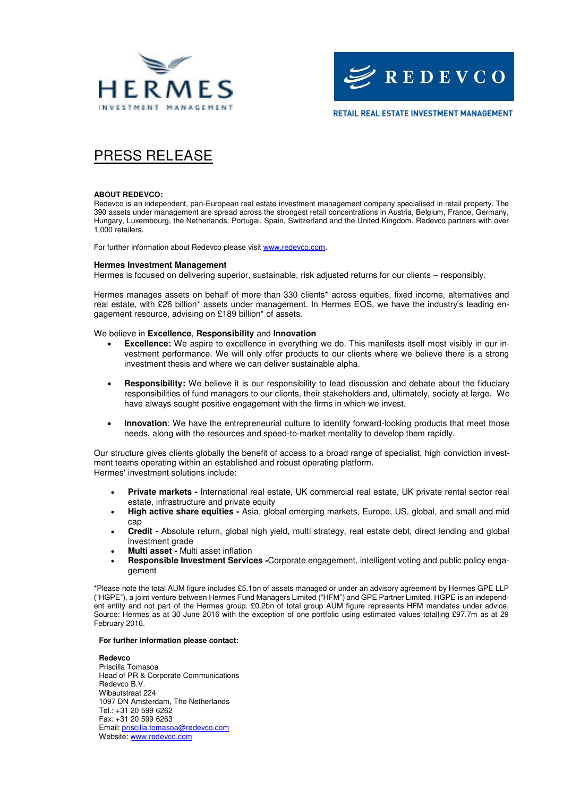



**RETAIL REAL ESTATE INVESTMENT MANAGEMENT** 

# PRESS RELEASE

#### **ABOUT REDEVCO:**

Redevco is an independent, pan-European real estate investment management company specialised in retail property. The 390 assets under management are spread across the strongest retail concentrations in Austria, Belgium, France, Germany, Hungary, Luxembourg, the Netherlands, Portugal, Spain, Switzerland and the United Kingdom. Redevco partners with over 1,000 retailers.

For further information about Redevco please visit [www.redevco.com.](http://www.redevco.com/)

#### **Hermes Investment Management**

Hermes is focused on delivering superior, sustainable, risk adjusted returns for our clients – responsibly.

Hermes manages assets on behalf of more than 330 clients\* across equities, fixed income, alternatives and real estate, with £26 billion\* assets under management. In Hermes EOS, we have the industry's leading engagement resource, advising on £189 billion\* of assets.

### We believe in **Excellence**, **Responsibility** and **Innovation**

- **Excellence:** We aspire to excellence in everything we do. This manifests itself most visibly in our investment performance. We will only offer products to our clients where we believe there is a strong investment thesis and where we can deliver sustainable alpha.
- **Responsibility:** We believe it is our responsibility to lead discussion and debate about the fiduciary responsibilities of fund managers to our clients, their stakeholders and, ultimately, society at large. We have always sought positive engagement with the firms in which we invest.
- **Innovation**: We have the entrepreneurial culture to identify forward-looking products that meet those needs, along with the resources and speed-to-market mentality to develop them rapidly.

Our structure gives clients globally the benefit of access to a broad range of specialist, high conviction investment teams operating within an established and robust operating platform. Hermes' investment solutions include:

- **Private markets** International real estate, UK commercial real estate, UK private rental sector real estate, infrastructure and private equity
- **High active share equities** Asia, global emerging markets, Europe, US, global, and small and mid cap
- **Credit** Absolute return, global high yield, multi strategy, real estate debt, direct lending and global investment grade
- **Multi asset** Multi asset inflation
- **Responsible Investment Services -**Corporate engagement, intelligent voting and public policy engagement

\*Please note the total AUM figure includes £5.1bn of assets managed or under an advisory agreement by Hermes GPE LLP ("HGPE"), a joint venture between Hermes Fund Managers Limited ("HFM") and GPE Partner Limited. HGPE is an independent entity and not part of the Hermes group. £0.2bn of total group AUM figure represents HFM mandates under advice. Source: Hermes as at 30 June 2016 with the exception of one portfolio using estimated values totalling £97.7m as at 29 February 2016.

#### **For further information please contact:**

**Redevco**  Priscilla Tomasoa Head of PR & Corporate Communications Redevco B.V. Wibautstraat 224 1097 DN Amsterdam, The Netherlands Tel.: +31 20 599 6262 Fax: +31 20 599 6263 Email: [priscilla.tomasoa@redevco.com](mailto:priscilla.tomasoa@redevco.com) Website: [www.redevco.com](http://www.redevco.com/)